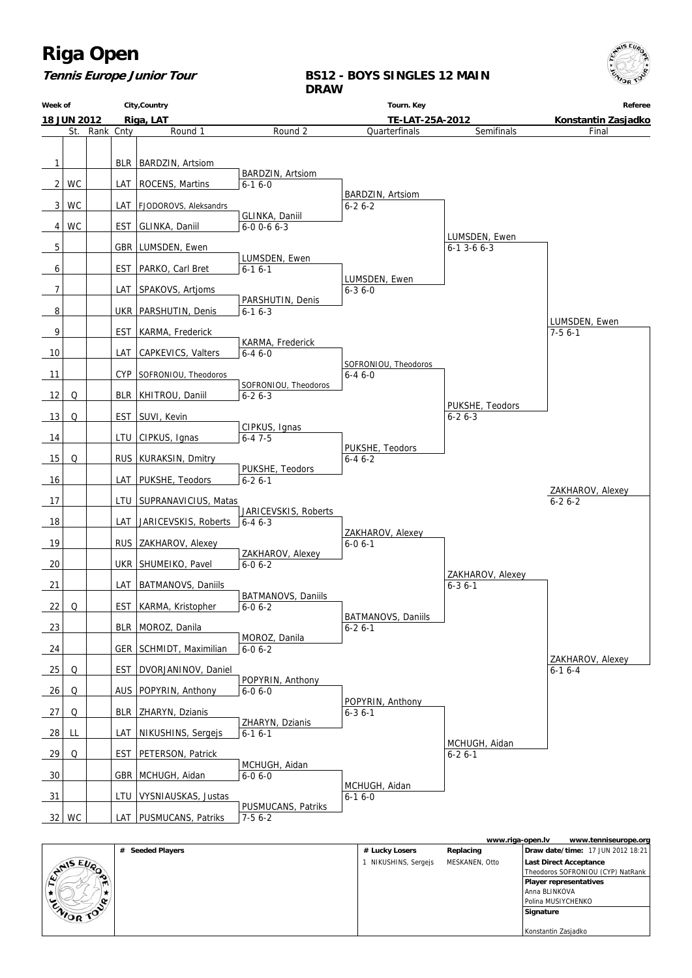

# **Tennis Europe Junior Tour**

# **BS12 - BOYS SINGLES 12 MAIN DRAW**

| Week of        |             |           |            | City, Country               |                                | Tourn. Key                           |                                 | Referee             |
|----------------|-------------|-----------|------------|-----------------------------|--------------------------------|--------------------------------------|---------------------------------|---------------------|
|                | 18 JUN 2012 |           |            | Riga, LAT                   |                                | TE-LAT-25A-2012                      |                                 | Konstantin Zasjadko |
|                | St.         | Rank Cnty |            | Round 1                     | Round 2                        | Quarterfinals                        | Semifinals                      | Final               |
|                |             |           |            |                             |                                |                                      |                                 |                     |
| 1              |             |           |            | BLR   BARDZIN, Artsiom      |                                |                                      |                                 |                     |
|                |             |           |            |                             | BARDZIN, Artsiom               |                                      |                                 |                     |
| $\overline{2}$ | <b>WC</b>   |           |            | LAT   ROCENS, Martins       | $6 - 16 - 0$                   |                                      |                                 |                     |
|                |             |           |            |                             |                                | BARDZIN, Artsiom                     |                                 |                     |
| 3              | WC          |           |            | LAT   FJODOROVS, Aleksandrs | GLINKA, Daniil                 | $6 - 26 - 2$                         |                                 |                     |
| 4              | <b>WC</b>   |           |            | EST   GLINKA, Daniil        | $6 - 0$ 0 - 6 $6 - 3$          |                                      |                                 |                     |
|                |             |           |            |                             |                                |                                      | LUMSDEN, Ewen                   |                     |
| 5              |             |           |            | GBR   LUMSDEN, Ewen         |                                |                                      | $6-1$ 3-6 $6-3$                 |                     |
| 6              |             |           |            | EST   PARKO, Carl Bret      | LUMSDEN, Ewen<br>$6-16-1$      |                                      |                                 |                     |
|                |             |           |            |                             |                                | LUMSDEN, Ewen                        |                                 |                     |
| 7              |             |           |            | LAT   SPAKOVS, Artjoms      |                                | $6 - 36 - 0$                         |                                 |                     |
|                |             |           |            |                             | PARSHUTIN, Denis               |                                      |                                 |                     |
| 8              |             |           |            | UKR   PARSHUTIN, Denis      | $6 - 16 - 3$                   |                                      |                                 | LUMSDEN, Ewen       |
| 9              |             |           | <b>EST</b> | KARMA, Frederick            |                                |                                      |                                 | $7-56-1$            |
|                |             |           |            |                             | KARMA, Frederick               |                                      |                                 |                     |
| 10             |             |           | LAT        | <b>CAPKEVICS, Valters</b>   | $6 - 46 - 0$                   |                                      |                                 |                     |
| 11             |             |           | CYP        | SOFRONIOU, Theodoros        |                                | SOFRONIOU, Theodoros<br>$6 - 46 - 0$ |                                 |                     |
|                |             |           |            |                             | SOFRONIOU, Theodoros           |                                      |                                 |                     |
| 12             | Q           |           |            | BLR   KHITROU, Daniil       | $6 - 26 - 3$                   |                                      |                                 |                     |
| 13             | Q           |           |            | EST   SUVI, Kevin           |                                |                                      | PUKSHE, Teodors<br>$6 - 26 - 3$ |                     |
|                |             |           |            |                             | CIPKUS, Ignas                  |                                      |                                 |                     |
| 14             |             |           |            | LTU   CIPKUS, Ignas         | $6 - 47 - 5$                   |                                      |                                 |                     |
|                |             |           |            |                             |                                | PUKSHE, Teodors                      |                                 |                     |
| 15             | Q           |           |            | RUS   KURAKSIN, Dmitry      | PUKSHE, Teodors                | $6 - 46 - 2$                         |                                 |                     |
| 16             |             |           |            | LAT   PUKSHE, Teodors       | $6 - 26 - 1$                   |                                      |                                 |                     |
|                |             |           |            |                             |                                |                                      |                                 | ZAKHAROV, Alexey    |
| 17             |             |           |            | LTU   SUPRANAVICIUS, Matas  | JARICEVSKIS, Roberts           |                                      |                                 | $6 - 26 - 2$        |
| 18             |             |           | LAT        | JARICEVSKIS, Roberts        | $6 - 46 - 3$                   |                                      |                                 |                     |
|                |             |           |            |                             |                                | ZAKHAROV, Alexey                     |                                 |                     |
| 19             |             |           |            | RUS   ZAKHAROV, Alexey      | ZAKHAROV, Alexey               | $6 - 06 - 1$                         |                                 |                     |
| 20             |             |           |            | UKR   SHUMEIKO, Pavel       | $6-06-2$                       |                                      |                                 |                     |
|                |             |           |            |                             |                                |                                      | ZAKHAROV, Alexey                |                     |
| 21             |             |           |            | LAT   BATMANOVS, Daniils    | BATMANOVS, Daniils             |                                      | $6 - 36 - 1$                    |                     |
| 22             | Q           |           |            | EST   KARMA, Kristopher     | $6 - 06 - 2$                   |                                      |                                 |                     |
|                |             |           |            |                             |                                | BATMANOVS, Daniils                   |                                 |                     |
| 23             |             |           |            | BLR   MOROZ, Danila         | MOROZ, Danila                  | $6 - 26 - 1$                         |                                 |                     |
| 24             |             |           |            | GER SCHMIDT, Maximilian     | $6 - 06 - 2$                   |                                      |                                 |                     |
|                |             |           |            |                             |                                |                                      |                                 | ZAKHAROV, Alexey    |
| 25             | Q           |           | <b>EST</b> | DVORJANINOV, Daniel         | POPYRIN, Anthony               |                                      |                                 | $6-16-4$            |
| 26             | Q           |           |            | AUS   POPYRIN, Anthony      | $6 - 06 - 0$                   |                                      |                                 |                     |
|                |             |           |            |                             |                                | POPYRIN, Anthony                     |                                 |                     |
| 27             | Q           |           | BLR        | ZHARYN, Dzianis             |                                | $6 - 36 - 1$                         |                                 |                     |
| 28             | LL          |           | LAT        | NIKUSHINS, Sergejs          | ZHARYN, Dzianis<br>$6-16-1$    |                                      |                                 |                     |
|                |             |           |            |                             |                                |                                      | MCHUGH, Aidan                   |                     |
| 29             | Q           |           | EST        | PETERSON, Patrick           |                                |                                      | $6 - 26 - 1$                    |                     |
| 30             |             |           |            | GBR   MCHUGH, Aidan         | MCHUGH, Aidan<br>$6 - 06 - 0$  |                                      |                                 |                     |
|                |             |           |            |                             |                                | MCHUGH, Aidan                        |                                 |                     |
| 31             |             |           | LTU        | VYSNIAUSKAS, Justas         |                                | $6 - 16 - 0$                         |                                 |                     |
| 32             | WC          |           |            | LAT   PUSMUCANS, Patriks    | PUSMUCANS, Patriks<br>$7-56-2$ |                                      |                                 |                     |
|                |             |           |            |                             |                                |                                      |                                 |                     |

|        |           |                            |                    | www.riga-open.ly | www.tenniseurope.org                     |
|--------|-----------|----------------------------|--------------------|------------------|------------------------------------------|
|        |           | <b>Seeded Players</b><br># | # Lucky Losers     | Replacing        | <b>Draw date/time: 17 JUN 2012 18:21</b> |
|        | ANIS EUR  |                            | NIKUSHINS, Sergejs | MESKANEN, Otto   | Last Direct Acceptance                   |
|        |           |                            |                    |                  | Theodoros SOFRONIOU (CYP) NatRank        |
| $\sim$ |           |                            |                    |                  | Player representatives                   |
|        |           |                            |                    |                  | Anna BLINKOVA                            |
|        |           |                            |                    |                  | Polina MUSIYCHENKO                       |
|        | ENIOR TOP |                            |                    |                  | Signature                                |
|        |           |                            |                    |                  |                                          |
|        |           |                            |                    |                  | Konstantin Zasjadko                      |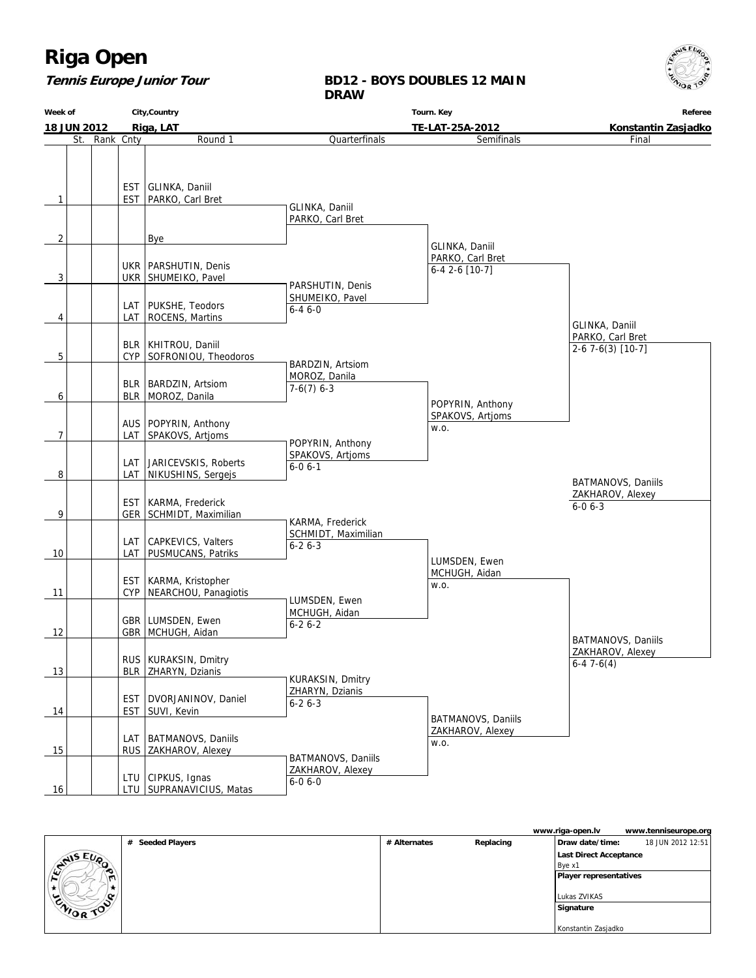## **Tennis Europe Junior Tour**

### **BD12 - BOYS DOUBLES 12 MAIN DRAW**

**Week of 18 JUN 2012 City,Country Riga, LAT Tourn. Key TE-LAT-25A-2012 Referee Konstantin Zasjadko** St. Rank Cnty **Round 1**  $1$   $\left| \right|$  EST EST GLINKA, Daniil PARKO, Carl Bret 2 | Bye  $3$  UKR UKR | PARSHUTIN, Denis SHUMEIKO, Pavel 4 | LAT LAT PUKSHE, Teodors ROCENS, Martins  $5$  |  $\sqrt{CP}$ BLR | KHITROU, Daniil SOFRONIOU, Theodoros 6 BLR BLR | BARDZIN, Artsiom MOROZ, Danila 7 LAT AUS | POPYRIN, Anthony SPAKOVS, Artjoms 8 LAT LAT JARICEVSKIS, Roberts NIKUSHINS, Sergejs 9 | GER EST | KARMA, Frederick SCHMIDT, Maximilian 10 | LAT LAT CAPKEVICS, Valters PUSMUCANS, Patriks 11 | CYP EST | KARMA, Kristopher NEARCHOU, Panagiotis 12 | GBR GBR LUMSDEN, Ewen MCHUGH, Aidan 13 | BLR RUS | KURAKSIN, Dmitry ZHARYN, Dzianis 14 | EST EST | DVORJANINOV, Daniel SUVI, Kevin 15 | RUS LAT | BATMANOVS, Daniils ZAKHAROV, Alexey 16 | | | | LTU | SUPRANAVICIUS, Matas LTU CIPKUS, Ignas **Quarterfinals**  GLINKA, Daniil PARKO, Carl Bret PARSHUTIN, Denis SHUMEIKO, Pavel 6-4 6-0 BARDZIN, Artsiom MOROZ, Danila  $7-6(7)$  6-3 POPYRIN, Anthony SPAKOVS, Artjoms  $6 - 06 - 1$  KARMA, Frederick SCHMIDT, Maximilian  $6 - 26 - 3$  LUMSDEN, Ewen MCHUGH, Aidan 6-2 6-2 KURAKSIN, Dmitry ZHARYN, Dzianis 6-2 6-3 BATMANOVS, Daniils ZAKHAROV, Alexey 6-0 6-0 Semifinals GLINKA, Daniil PARKO, Carl Bret 6-4 2-6 [10-7] POPYRIN, Anthony SPAKOVS, Artjoms w.o. LUMSDEN, Ewen MCHUGH, Aidan w.o. BATMANOVS, Daniils ZAKHAROV, Alexey w.o. Final GLINKA, Daniil PARKO, Carl Bret 2-6 7-6(3) [10-7] BATMANOVS, Daniils ZAKHAROV, Alexey 6-4 7-6(4) BATMANOVS, Daniils ZAKHAROV, Alexey 6-0 6-3

|                  |                            |              |           | www.riga-open.lv              | www.tenniseurope.org |
|------------------|----------------------------|--------------|-----------|-------------------------------|----------------------|
|                  | <b>Seeded Players</b><br># | # Alternates | Replacing | Draw date/time:               | 18 JUN 2012 12:51    |
| CHAIS EUP        |                            |              |           | Last Direct Acceptance        |                      |
|                  |                            |              |           | Bye x1                        |                      |
| $\sim$<br>r٦     |                            |              |           | <b>Player representatives</b> |                      |
|                  |                            |              |           |                               |                      |
| $\sim$           |                            |              |           | Lukas ZVIKAS                  |                      |
| <b>CAIOR TOP</b> |                            |              |           | Signature                     |                      |
|                  |                            |              |           |                               |                      |
|                  |                            |              |           | Konstantin Zasjadko           |                      |

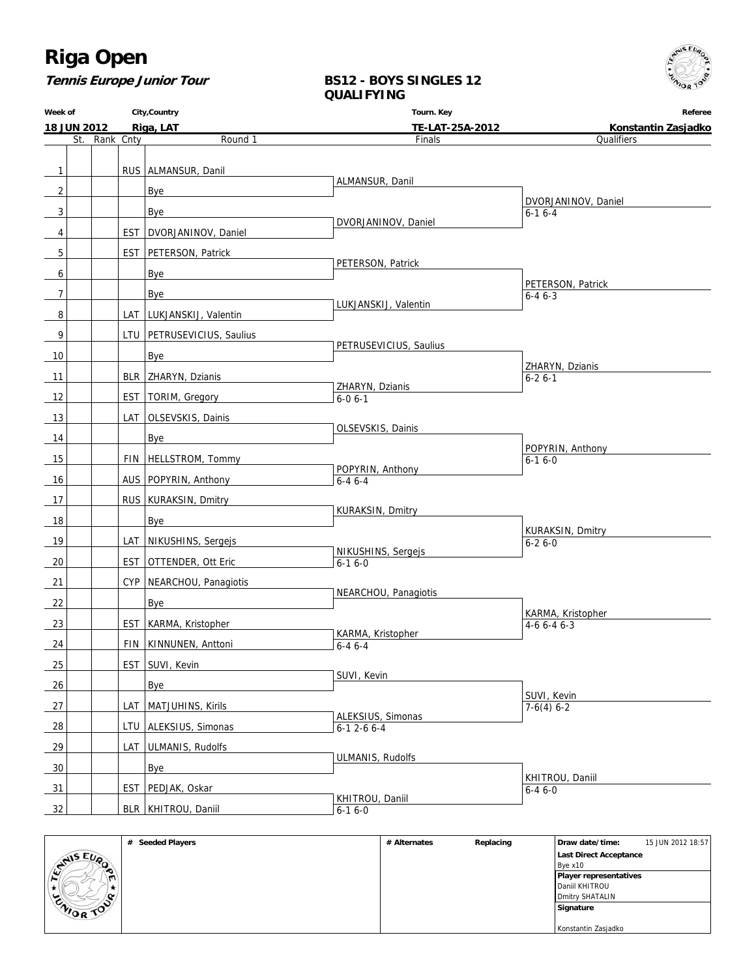**Tennis Europe Junior Tour**

## **BS12 - BOYS SINGLES 12 QUALIFYING**

**Week of 18 JUN 2012 City,Country Riga, LAT Tourn. Key TE-LAT-25A-2012 Referee Konstantin Zasjadko** St. Rank Cnty **Round 1** 1 | RUS ALMANSUR, Danil  $2$  | | | Bye  $3$  | | | Bye 4 | EST DVORJANINOV, Daniel 5 | EST PETERSON, Patrick 6 | | | | | | Bye 7 | | | | | | Bye 8 | LAT LUKJANSKIJ, Valentin 9 | | | | LTU PETRUSEVICIUS, Saulius 10 Bye 11 | BLR ZHARYN, Dzianis 12 | EST | TORIM, Gregory 13 | LAT OLSEVSKIS, Dainis 14 Bye 15 | | | | FIN | HELLSTROM, Tommy 16 | | | | AUS | POPYRIN, Anthony 17 RUS KURAKSIN, Dmitry 18 | Bye 19 | LAT NIKUSHINS, Sergejs 20 | EST OTTENDER, Ott Eric 21 | CYP | NEARCHOU, Panagiotis  $22$  | | | | Bye 23 | EST KARMA, Kristopher 24 | FIN KINNUNEN, Anttoni 25 | EST SUVI, Kevin 26 Bye 27 | | | | LAT | MATJUHINS, Kirils 28 | | | | LTU | ALEKSIUS, Simonas 29 | | | | LAT | ULMANIS, Rudolfs 30 Bye 31 | EST PEDJAK, Oskar 32 | BLR KHITROU, Daniil Finals ALMANSUR, Danil DVORJANINOV, Daniel PETERSON, Patrick LUKJANSKIJ, Valentin PETRUSEVICIUS, Saulius ZHARYN, Dzianis 6-0 6-1 OLSEVSKIS, Dainis POPYRIN, Anthony 6-4 6-4 KURAKSIN, Dmitry NIKUSHINS, Sergejs 6-1 6-0 NEARCHOU, Panagiotis KARMA, Kristopher  $6-46-4$  SUVI, Kevin ALEKSIUS, Simonas 6-1 2-6 6-4 ULMANIS, Rudolfs KHITROU, Daniil  $6 - 16 - 0$ **Qualifiers**  DVORJANINOV, Daniel 6-1 6-4 PETERSON, Patrick 6-4 6-3 ZHARYN, Dzianis 6-2 6-1 POPYRIN, Anthony  $6-16-0$  KURAKSIN, Dmitry  $6 - 26 - 0$  KARMA, Kristopher 4-6 6-4 6-3 SUVI, Kevin  $7-6(4)$  6-2 KHITROU, Daniil 6-4 6-0

|                  | <b>Seeded Players</b><br># | # Alternates | Replacing | Draw date/time:        | 15 JUN 2012 18:57 |
|------------------|----------------------------|--------------|-----------|------------------------|-------------------|
| WIS EUP          |                            |              |           | Last Direct Acceptance |                   |
| $\mathcal{L}$    |                            |              |           | Bve x10                |                   |
| ᡣ                |                            |              |           | Player representatives |                   |
|                  |                            |              |           | Daniil KHITROU         |                   |
| $\alpha$         |                            |              |           | Dmitry SHATALIN        |                   |
| <b>CAIOR TOP</b> |                            |              |           | Signature              |                   |
|                  |                            |              |           |                        |                   |
|                  |                            |              |           | Konstantin Zasjadko    |                   |

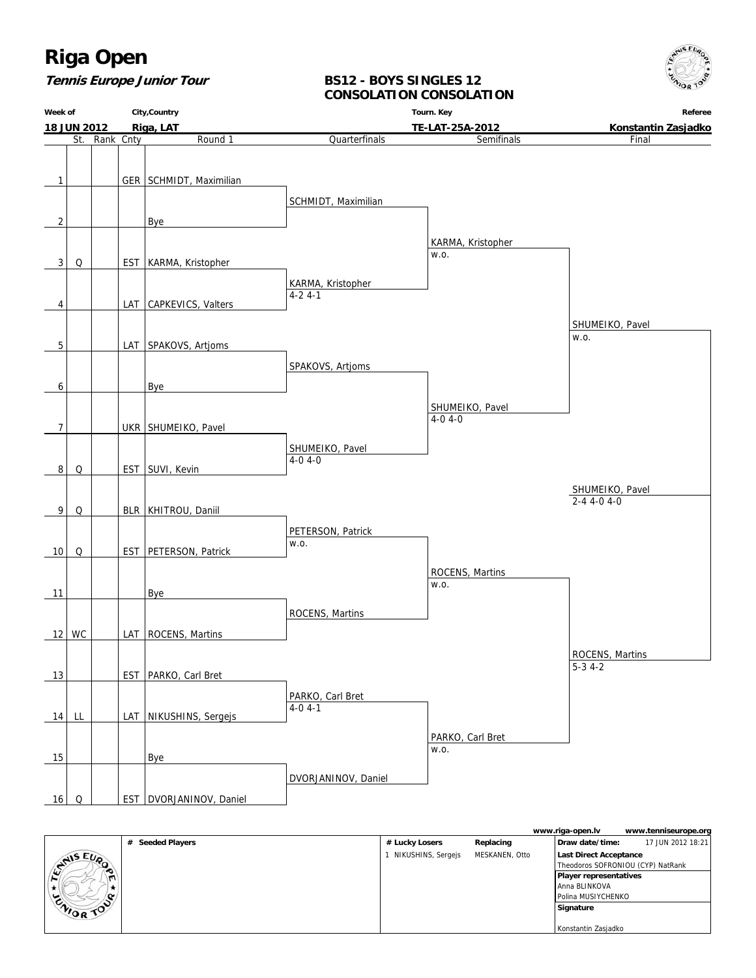

## **Tennis Europe Junior Tour**

## **BS12 - BOYS SINGLES 12 CONSOLATION CONSOLATION**

**Week of 18 JUN 2012 City,Country Riga, LAT Tourn. Key TE-LAT-25A-2012 Referee Konstantin Zasjadko** St. Rank Cnty **Round 1** 1 | GER SCHMIDT, Maximilian  $2$  | | | Bye 3 Q | EST KARMA, Kristopher 4 | | | | LAT CAPKEVICS, Valters 5 | LAT SPAKOVS, Artjoms 6 | | | | | | Bye 7 | | UKR SHUMEIKO, Pavel 8 Q | EST SUVI, Kevin 9 Q | BLR KHITROU, Daniil 10 Q | EST PETERSON, Patrick 11 | Bye 12 WC | LAT ROCENS, Martins 13 | EST PARKO, Carl Bret 14 LL | | LAT | NIKUSHINS, Sergejs 15 Bye 16 Q | EST DVORJANINOV, Daniel **Quarterfinals** SCHMIDT, Maximilian KARMA, Kristopher 4-2 4-1 SPAKOVS, Artjoms SHUMEIKO, Pavel 4-0 4-0 PETERSON, Patrick w.o. ROCENS, Martins PARKO, Carl Bret 4-0 4-1 DVORJANINOV, Daniel Semifinals KARMA, Kristopher w.o. SHUMEIKO, Pavel 4-0 4-0 ROCENS, Martins w.o. PARKO, Carl Bret w.o. Final SHUMEIKO, Pavel w.o. ROCENS, Martins 5-3 4-2 SHUMEIKO, Pavel 2-4 4-0 4-0

|          |                            |                    |                | www.riga-open.lv              | www.tenniseurope.org              |
|----------|----------------------------|--------------------|----------------|-------------------------------|-----------------------------------|
|          | <b>Seeded Players</b><br># | # Lucky Losers     | Replacing      | Draw date/time:               | 17 JUN 2012 18:21                 |
| ANIS EUP |                            | NIKUSHINS, Sergejs | MESKANEN, Otto | <b>Last Direct Acceptance</b> |                                   |
|          |                            |                    |                |                               | Theodoros SOFRONIOU (CYP) NatRank |
|          |                            |                    |                | Player representatives        |                                   |
|          |                            |                    |                | Anna BLINKOVA                 |                                   |
| ∞        |                            |                    |                | Polina MUSIYCHENKO            |                                   |
| WOR TO   |                            |                    |                | Signature                     |                                   |
|          |                            |                    |                |                               |                                   |
|          |                            |                    |                | Konstantin Zasjadko           |                                   |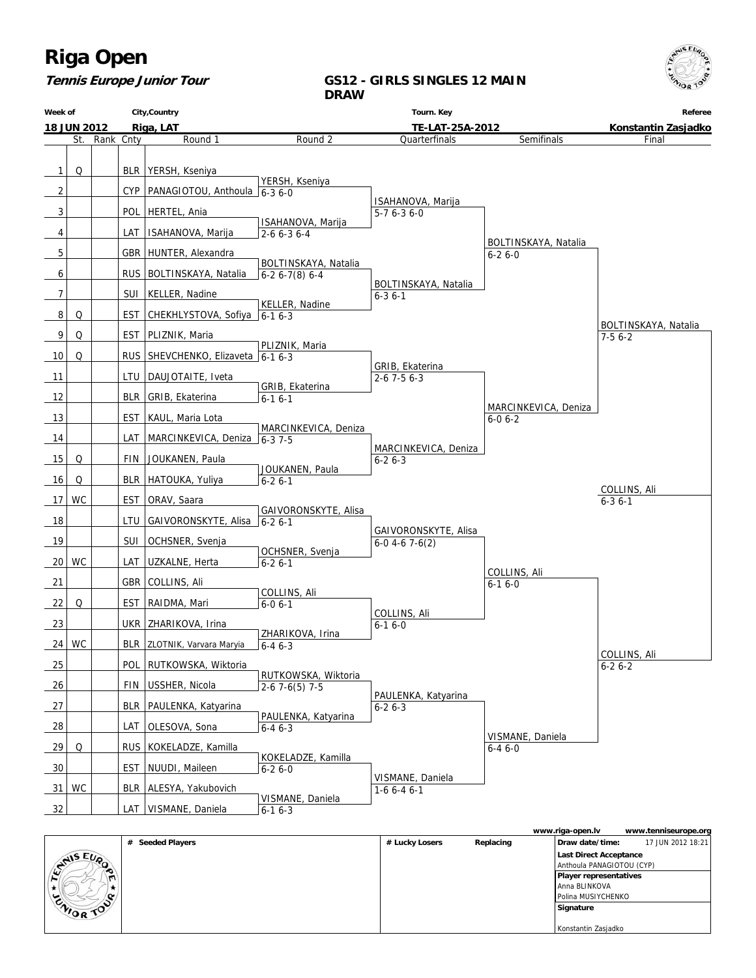# **Tennis Europe Junior Tour**

# **GS12 - GIRLS SINGLES 12 MAIN DRAW**

| Week of        |                    |           |            | City, Country                             |                                        | Tourn. Key                            |                                      | Referee              |
|----------------|--------------------|-----------|------------|-------------------------------------------|----------------------------------------|---------------------------------------|--------------------------------------|----------------------|
|                | <b>18 JUN 2012</b> |           |            | Riga, LAT                                 | TE-LAT-25A-2012                        |                                       |                                      | Konstantin Zasjadko  |
|                | St.                | Rank Cnty |            | Round 1                                   | Round 2                                | Quarterfinals                         | Semifinals                           | Final                |
| $\mathbf{1}$   | Q                  |           |            | BLR   YERSH, Kseniya                      |                                        |                                       |                                      |                      |
|                |                    |           |            |                                           | YERSH, Kseniya                         |                                       |                                      |                      |
| $\overline{2}$ |                    |           |            | CYP   PANAGIOTOU, Anthoula 6-3 6-0        |                                        | ISAHANOVA, Marija                     |                                      |                      |
| 3              |                    |           |            | POL   HERTEL, Ania                        | ISAHANOVA, Marija                      | $5-76-36-0$                           |                                      |                      |
| 4              |                    |           | LAT        | ISAHANOVA, Marija                         | $2 - 6$ 6 - 3 6 - 4                    |                                       | BOLTINSKAYA, Natalia                 |                      |
| 5              |                    |           |            | GBR   HUNTER, Alexandra                   |                                        |                                       | $6-26-0$                             |                      |
| 6              |                    |           |            | RUS BOLTINSKAYA, Natalia                  | BOLTINSKAYA, Natalia<br>$6-26-7(8)6-4$ |                                       |                                      |                      |
| 7              |                    |           |            | SUI   KELLER, Nadine                      |                                        | BOLTINSKAYA, Natalia<br>$6 - 3$ 6 - 1 |                                      |                      |
|                | Q                  |           |            | EST CHEKHLYSTOVA, Sofiya $6-16-3$         | KELLER, Nadine                         |                                       |                                      |                      |
| 8              |                    |           |            |                                           |                                        |                                       |                                      | BOLTINSKAYA, Natalia |
| 9              | Q                  |           |            | EST   PLIZNIK, Maria                      | PLIZNIK, Maria                         |                                       |                                      | $7-56-2$             |
| 10             | Q                  |           |            | RUS SHEVCHENKO, Elizaveta 6-1 6-3         |                                        | GRIB, Ekaterina                       |                                      |                      |
| 11             |                    |           |            | LTU   DAUJOTAITE, Iveta                   |                                        | $2 - 67 - 56 - 3$                     |                                      |                      |
| 12             |                    |           |            | BLR   GRIB, Ekaterina                     | GRIB, Ekaterina<br>$6-16-1$            |                                       |                                      |                      |
| 13             |                    |           | <b>EST</b> | KAUL, Maria Lota                          |                                        |                                       | MARCINKEVICA, Deniza<br>$6 - 06 - 2$ |                      |
| 14             |                    |           |            | LAT MARCINKEVICA, Deniza $\sqrt{6-3}$ 7-5 | MARCINKEVICA, Deniza                   |                                       |                                      |                      |
| 15             | Q                  |           | <b>FIN</b> | JOUKANEN, Paula                           |                                        | MARCINKEVICA, Deniza                  |                                      |                      |
|                |                    |           |            |                                           | JOUKANEN, Paula                        | $6 - 26 - 3$                          |                                      |                      |
| 16             | Q                  |           |            | BLR   HATOUKA, Yuliya                     | $6 - 26 - 1$                           |                                       |                                      | COLLINS, Ali         |
| 17             | WC                 |           |            | EST   ORAV, Saara                         | GAIVORONSKYTE, Alisa                   |                                       |                                      | $6 - 36 - 1$         |
| 18             |                    |           |            | LTU GAIVORONSKYTE, Alisa 6-2 6-1          |                                        | GAIVORONSKYTE, Alisa                  |                                      |                      |
| 19             |                    |           | SUI        | OCHSNER, Svenja                           |                                        | $6-0$ 4-6 7-6(2)                      |                                      |                      |
| 20             | WC                 |           |            | LAT   UZKALNE, Herta                      | OCHSNER, Svenja<br>$6 - 26 - 1$        |                                       |                                      |                      |
| 21             |                    |           |            | GBR COLLINS, Ali                          |                                        |                                       | COLLINS, Ali<br>$6 - 16 - 0$         |                      |
| 22             | Q                  |           |            | EST   RAIDMA, Mari                        | COLLINS, Ali<br>$6 - 06 - 1$           |                                       |                                      |                      |
|                |                    |           |            |                                           |                                        | COLLINS, Ali                          |                                      |                      |
| 23             |                    |           |            | UKR   ZHARIKOVA, Irina                    | ZHARIKOVA, Irina                       | $6-16-0$                              |                                      |                      |
| 24             | WC                 |           |            | BLR   ZLOTNIK, Varvara Maryia             | $6 - 46 - 3$                           |                                       |                                      | COLLINS, Ali         |
| 25             |                    |           |            | POL RUTKOWSKA, Wiktoria                   | RUTKOWSKA, Wiktoria                    |                                       |                                      | $6 - 26 - 2$         |
| 26             |                    |           |            | FIN USSHER, Nicola                        | $2-67-6(5)7-5$                         |                                       |                                      |                      |
| 27             |                    |           |            | BLR   PAULENKA, Katyarina                 |                                        | PAULENKA, Katyarina<br>$6 - 26 - 3$   |                                      |                      |
| 28             |                    |           |            | LAT   OLESOVA, Sona                       | PAULENKA, Katyarina<br>$6 - 46 - 3$    |                                       |                                      |                      |
| 29             | Q                  |           |            | RUS   KOKELADZE, Kamilla                  |                                        |                                       | VISMANE, Daniela<br>$6 - 46 - 0$     |                      |
| 30             |                    |           |            | EST   NUUDI, Maileen                      | KOKELADZE, Kamilla<br>$6 - 26 - 0$     |                                       |                                      |                      |
| 31             | WC                 |           |            | BLR   ALESYA, Yakubovich                  |                                        | VISMANE, Daniela<br>$1-66-46-1$       |                                      |                      |
|                |                    |           |            |                                           | VISMANE, Daniela                       |                                       |                                      |                      |
| 32             |                    |           |            | LAT   VISMANE, Daniela                    | $6 - 16 - 3$                           |                                       |                                      |                      |

|                  |                  |                |           | www.riga-open.lv          | www.tenniseurope.org |
|------------------|------------------|----------------|-----------|---------------------------|----------------------|
|                  | # Seeded Players | # Lucky Losers | Replacing | Draw date/time:           | 17 JUN 2012 18:21    |
| <b>SANSEUP</b>   |                  |                |           | Last Direct Acceptance    |                      |
| ∙                |                  |                |           | Anthoula PANAGIOTOU (CYP) |                      |
|                  |                  |                |           | Player representatives    |                      |
|                  |                  |                |           | l Anna BLINKOVA           |                      |
| o                |                  |                |           | Polina MUSIYCHENKO        |                      |
| <b>CAIOR TON</b> |                  |                |           | Signature                 |                      |
|                  |                  |                |           |                           |                      |
|                  |                  |                |           | Konstantin Zasjadko       |                      |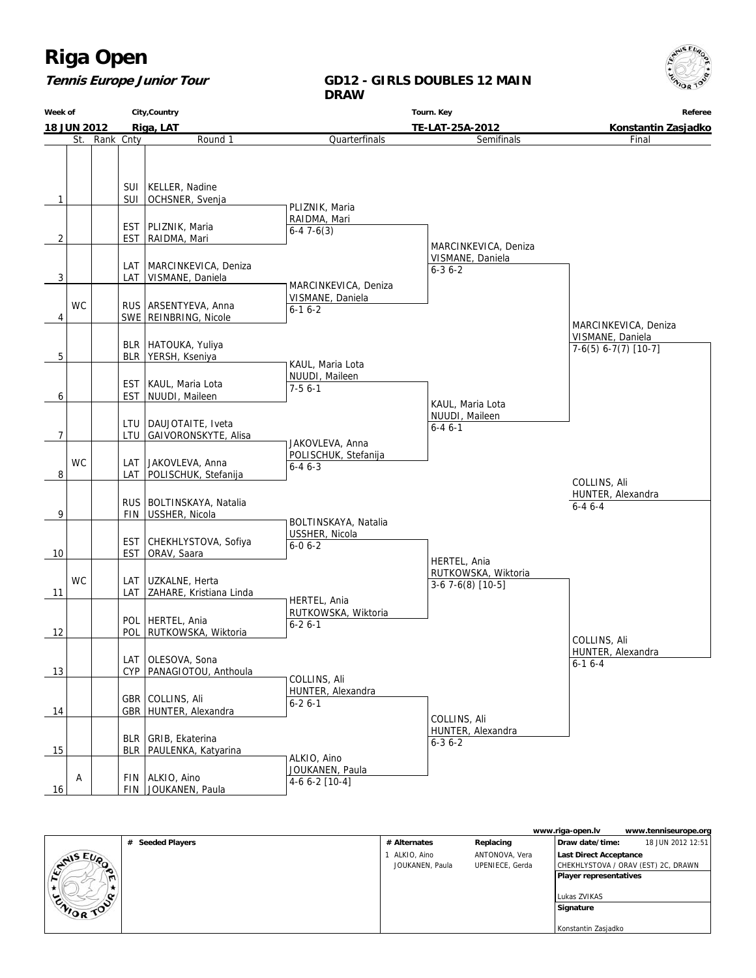## **Tennis Europe Junior Tour**

### **GD12 - GIRLS DOUBLES 12 MAIN DRAW**

**Week of 18 JUN 2012 City,Country Riga, LAT Tourn. Key TE-LAT-25A-2012 Referee Konstantin Zasjadko** St. Rank Cnty **Round 1**  $1$  | SUI SUI KELLER, Nadine OCHSNER, Svenja  $2$   $\vert$   $\vert$  EST EST | PLIZNIK, Maria RAIDMA, Mari  $3$  LAT LAT MARCINKEVICA, Deniza VISMANE, Daniela 4 WC SWE RUS ARSENTYEVA, Anna REINBRING, Nicole 5 BLR BLR | HATOUKA, Yuliya YERSH, Kseniya 6 EST EST | KAUL, Maria Lota NUUDI, Maileen 7 LTU LTU DAUJOTAITE, Iveta GAIVORONSKYTE, Alisa 8 WC LAT LAT JAKOVLEVA, Anna POLISCHUK, Stefanija 9 | FIN RUS BOLTINSKAYA, Natalia USSHER, Nicola 10 | EST EST CHEKHLYSTOVA, Sofiya ORAV, Saara 11 **WC** LAT LAT UZKALNE, Herta ZAHARE, Kristiana Linda 12 POL POL HERTEL, Ania RUTKOWSKA, Wiktoria  $|13|$   $|$  CYP LAT OLESOVA, Sona PANAGIOTOU, Anthoula 14 | GBR GBR COLLINS, Ali HUNTER, Alexandra 15 | BLR BLR GRIB, Ekaterina PAULENKA, Katyarina 16 A FIN JOUKANEN, Paula FIN ALKIO, Aino **Quarterfinals**  PLIZNIK, Maria RAIDMA, Mari 6-4 7-6(3) MARCINKEVICA, Deniza VISMANE, Daniela 6-1 6-2 KAUL, Maria Lota NUUDI, Maileen 7-5 6-1 JAKOVLEVA, Anna POLISCHUK, Stefanija  $6 - 46 - 3$  BOLTINSKAYA, Natalia USSHER, Nicola 6-0 6-2 HERTEL, Ania RUTKOWSKA, Wiktoria 6-2 6-1 COLLINS, Ali HUNTER, Alexandra 6-2 6-1 ALKIO, Aino JOUKANEN, Paula 4-6 6-2 [10-4] Semifinals MARCINKEVICA, Deniza VISMANE, Daniela 6-3 6-2 KAUL, Maria Lota NUUDI, Maileen 6-4 6-1 HERTEL, Ania RUTKOWSKA, Wiktoria 3-6 7-6(8) [10-5] COLLINS, Ali HUNTER, Alexandra 6-3 6-2 Final MARCINKEVICA, Deniza VISMANE, Daniela 7-6(5) 6-7(7) [10-7] COLLINS, Ali HUNTER, Alexandra 6-1 6-4 COLLINS, Ali HUNTER, Alexandra 6-4 6-4

|                  |                  |                 |                 | www.riga-open.lv<br>www.tenniseurope.org |
|------------------|------------------|-----------------|-----------------|------------------------------------------|
|                  | # Seeded Players | # Alternates    | Replacing       | 18 JUN 2012 12:51<br>Draw date/time:     |
| <b>STAIS EUP</b> |                  | ALKIO, Aino     | ANTONOVA, Vera  | Last Direct Acceptance                   |
|                  |                  | JOUKANEN, Paula | UPENIECE, Gerda | CHEKHLYSTOVA / ORAV (EST) 2C, DRAWN      |
|                  |                  |                 |                 | Player representatives                   |
|                  |                  |                 |                 |                                          |
| o                |                  |                 |                 | Lukas ZVIKAS                             |
| <b>CAIOR TON</b> |                  |                 |                 | Signature                                |
|                  |                  |                 |                 |                                          |
|                  |                  |                 |                 | Konstantin Zasjadko                      |

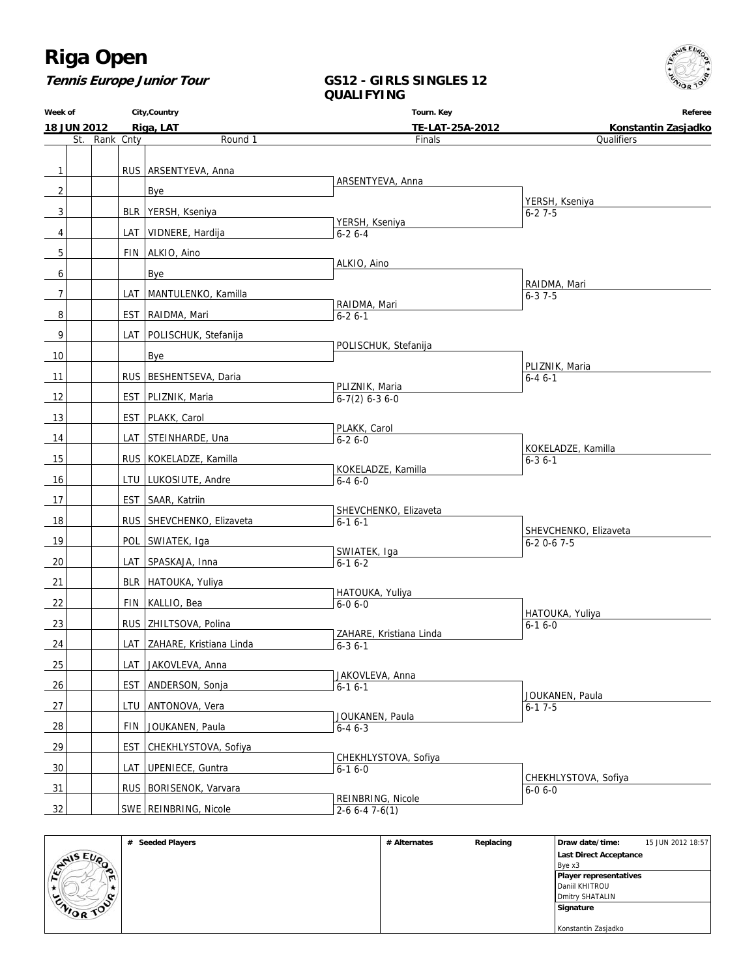**Tennis Europe Junior Tour**

## **GS12 - GIRLS SINGLES 12 QUALIFYING**

**Week of 18 JUN 2012 City,Country Riga, LAT Tourn. Key TE-LAT-25A-2012 Referee Konstantin Zasjadko** St. Rank Cnty **Round 1** 1 | RUS ARSENTYEVA, Anna  $2$  | | | Bye 3 | | | BLR YERSH, Kseniya 4 | | | | LAT | VIDNERE, Hardija 5 | FIN ALKIO, Aino 6 | | | | | | Bye 7 | | | | LAT | MANTULENKO, Kamilla 8 | EST RAIDMA, Mari 9 | LAT POLISCHUK, Stefanija 10 Bye 11 | RUS BESHENTSEVA, Daria 12 | EST PLIZNIK, Maria 13 | EST PLAKK, Carol 14 | LAT STEINHARDE, Una 15 | RUS KOKELADZE, Kamilla 16 | | | | LTU | LUKOSIUTE, Andre 17 | EST SAAR, Katriin 18 | RUS SHEVCHENKO, Elizaveta 19 | POL SWIATEK, Iga 20 | LAT SPASKAJA, Inna 21 | BLR HATOUKA, Yuliya 22 | FIN KALLIO, Bea 23 | RUS ZHILTSOVA, Polina 24 | | | | LAT | ZAHARE, Kristiana Linda 25 | | | | LAT | JAKOVLEVA, Anna 26 | EST ANDERSON, Sonja 27 | | | | LTU ANTONOVA, Vera 28 | FIN JOUKANEN, Paula 29 | EST CHEKHLYSTOVA, Sofiya 30 | LAT UPENIECE, Guntra 31 RUS BORISENOK, Varvara 32 SWE REINBRING, Nicole Finals ARSENTYEVA, Anna YERSH, Kseniya 6-2 6-4 ALKIO, Aino RAIDMA, Mari 6-2 6-1 POLISCHUK, Stefanija PLIZNIK, Maria 6-7(2) 6-3 6-0 PLAKK, Carol 6-2 6-0 KOKELADZE, Kamilla 6-4 6-0 SHEVCHENKO, Elizaveta  $6 - 16 - 1$  SWIATEK, Iga 6-1 6-2 HATOUKA, Yuliya 6-0 6-0 ZAHARE, Kristiana Linda  $6 - 36 - 1$  JAKOVLEVA, Anna  $6 - 16 - 1$  JOUKANEN, Paula  $6-46-3$  CHEKHLYSTOVA, Sofiya 6-1 6-0 REINBRING, Nicole  $\sqrt{2-66-47-6}$ (1) **Qualifiers**  YERSH, Kseniya  $6 - 27 - 5$  RAIDMA, Mari  $6 - 3 \overline{7 - 5}$  PLIZNIK, Maria 6-4 6-1 KOKELADZE, Kamilla  $6 - 36 - 1$  SHEVCHENKO, Elizaveta 6-2 0-6 7-5 HATOUKA, Yuliya 6-1 6-0 JOUKANEN, Paula 6-1 7-5 CHEKHLYSTOVA, Sofiya 6-0 6-0

|                 | <b>Seeded Players</b><br># | # Alternates | Replacing | Draw date/time:        | 15 JUN 2012 18:57 |  |
|-----------------|----------------------------|--------------|-----------|------------------------|-------------------|--|
| NIS EUP         |                            |              |           | Last Direct Acceptance |                   |  |
| ∼               |                            |              |           | Bye x3                 |                   |  |
|                 |                            |              |           | Player representatives |                   |  |
|                 |                            |              |           | Daniil KHITROU         |                   |  |
| $\sim$          |                            |              |           | Dmitry SHATALIN        |                   |  |
| WOR )<br>$\sim$ |                            |              |           | Signature              |                   |  |
|                 |                            |              |           |                        |                   |  |
|                 |                            |              |           | Konstantin Zasjadko    |                   |  |